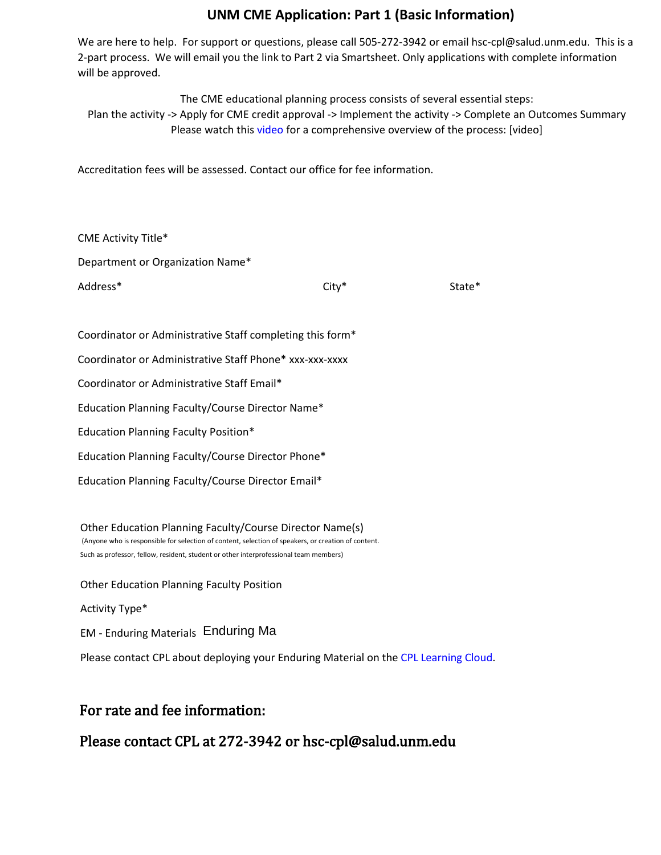### **UNM CME Application: Part 1 (Basic Information)**

We are here to help. For support or questions, please call 505-272-3942 or email hsc-cpl@salud.unm.edu. This is a 2-part process. We will email you the link to Part 2 via Smartsheet. Only applications with complete information will be approved.

The CME educational planning process consists of several essential steps: Plan the activity -> Apply for CME credit approval -> Implement the activity -> Complete an Outcomes Summary Please watch this [video](https://vimeo.com/452370665) for a comprehensive overview of the process: [video]

Accreditation fees will be assessed. Contact our office for fee information.

| $City*$                                                   | State* |
|-----------------------------------------------------------|--------|
|                                                           |        |
| Coordinator or Administrative Staff completing this form* |        |
| Coordinator or Administrative Staff Phone* xxx-xxx-xxxx   |        |
| Coordinator or Administrative Staff Email*                |        |
| Education Planning Faculty/Course Director Name*          |        |
|                                                           |        |
| Education Planning Faculty/Course Director Phone*         |        |
| Education Planning Faculty/Course Director Email*         |        |
|                                                           |        |

Other Education Planning Faculty/Course Director Name(s) (Anyone who is responsible for selection of content, selection of speakers, or creation of content. Such as professor, fellow, resident, student or other interprofessional team members)

Other Education Planning Faculty Position

Activity Type\*

EM - Enduring Materials Enduring Material

Please contact CPL about deploying your Enduring Material on the CPL [Learning Cloud](http://cpl.health.unm.edu.).

# For rate and fee information:

# Please contact CPL at 272-3942 or hsc-cpl@salud.unm.edu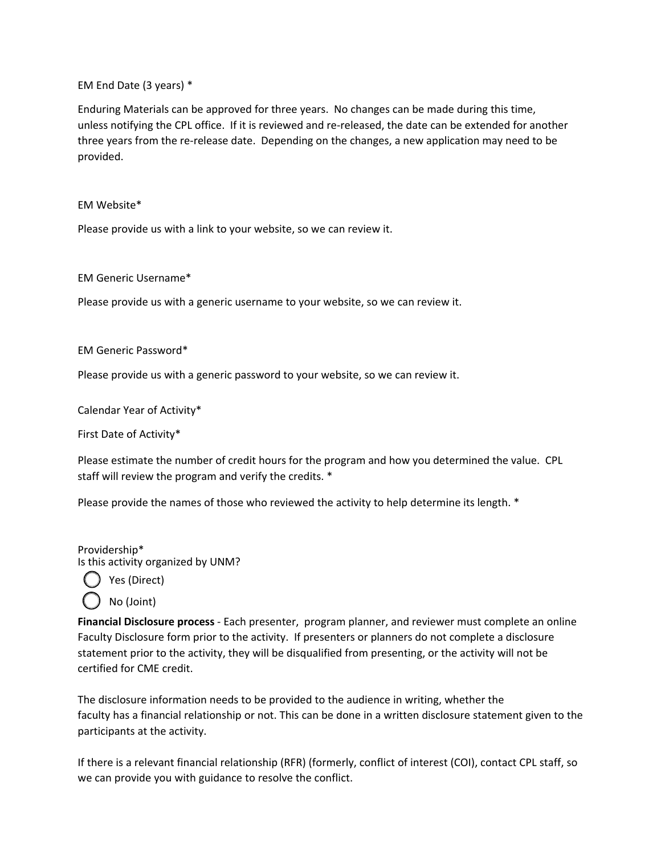EM End Date (3 years) \*

Enduring Materials can be approved for three years. No changes can be made during this time, unless notifying the CPL office. If it is reviewed and re-released, the date can be extended for another three years from the re-release date. Depending on the changes, a new application may need to be provided.

#### EM Website\*

Please provide us with a link to your website, so we can review it.

EM Generic Username\*

Please provide us with a generic username to your website, so we can review it.

EM Generic Password\*

Please provide us with a generic password to your website, so we can review it.

Calendar Year of Activity\*

First Date of Activity\*

Please estimate the number of credit hours for the program and how you determined the value. CPL staff will review the program and verify the credits. \*

Please provide the names of those who reviewed the activity to help determine its length. \*

Providership\* Is this activity organized by UNM?



No (Joint)

**Financial Disclosure process** - Each presenter, program planner, and reviewer must complete an online Faculty Disclosure form prior to the activity. If presenters or planners do not complete a disclosure statement prior to the activity, they will be disqualified from presenting, or the activity will not be certified for CME credit.

The disclosure information needs to be provided to the audience in writing, whether the faculty has a financial relationship or not. This can be done in a written disclosure statement given to the participants at the activity.

If there is a relevant financial relationship (RFR) (formerly, conflict of interest (COI), contact CPL staff, so we can provide you with guidance to resolve the conflict.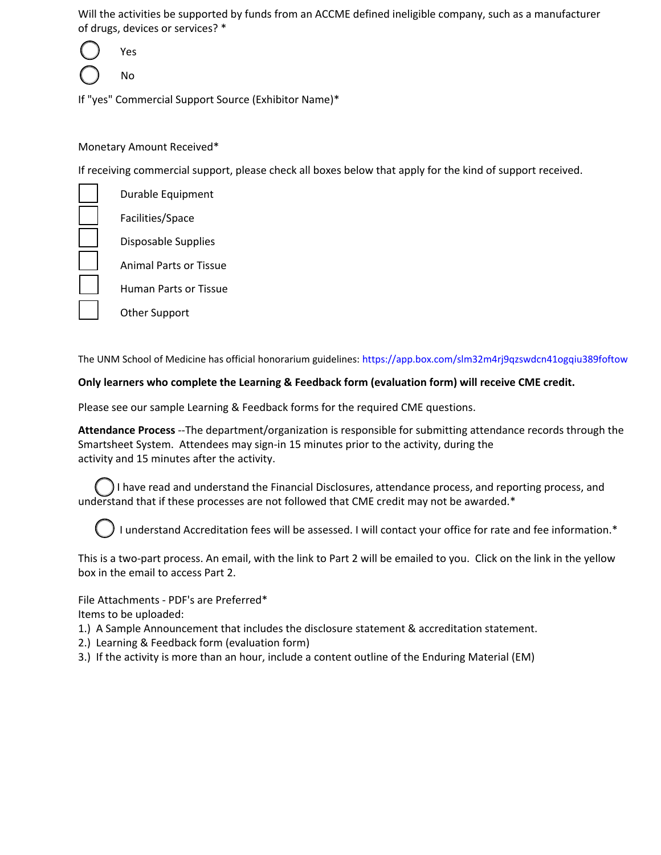Will the activities be supported by funds from an ACCME defined ineligible company, such as a manufacturer of drugs, devices or services? \*

Yes No

If "yes" Commercial Support Source (Exhibitor Name)\*

### Monetary Amount Received\*

If receiving commercial support, please check all boxes below that apply for the kind of support received.

Durable Equipment Facilities/Space Disposable Supplies Animal Parts or Tissue Human Parts or Tissue Other Support

The UNM School of Medicine has official honorarium guidelines: [https://app.box.com/slm32m4rj9qzswdcn41ogqiu389foftow](https://app.box.com/s/lm32m4rj9qzswdcn41ogqiu389foftow)

#### **Only learners who complete the Learning & Feedback form (evaluation form) will receive CME credit.**

Please see our sample Learning & Feedback forms for the required CME questions.

**Attendance Process** --The department/organization is responsible for submitting attendance records through the Smartsheet System. Attendees may sign-in 15 minutes prior to the activity, during the activity and 15 minutes after the activity.

I have read and understand the Financial Disclosures, attendance process, and reporting process, and understand that if these processes are not followed that CME credit may not be awarded.\*

I understand Accreditation fees will be assessed. I will contact your office for rate and fee information.\*

This is a two-part process. An email, with the link to Part 2 will be emailed to you. Click on the link in the yellow box in the email to access Part 2.

File Attachments - PDF's are Preferred\* Items to be uploaded:

1.) A Sample Announcement that includes the disclosure statement & accreditation statement.

- 2.) Learning & Feedback form (evaluation form)
- 3.) If the activity is more than an hour, include a content outline of the Enduring Material (EM)